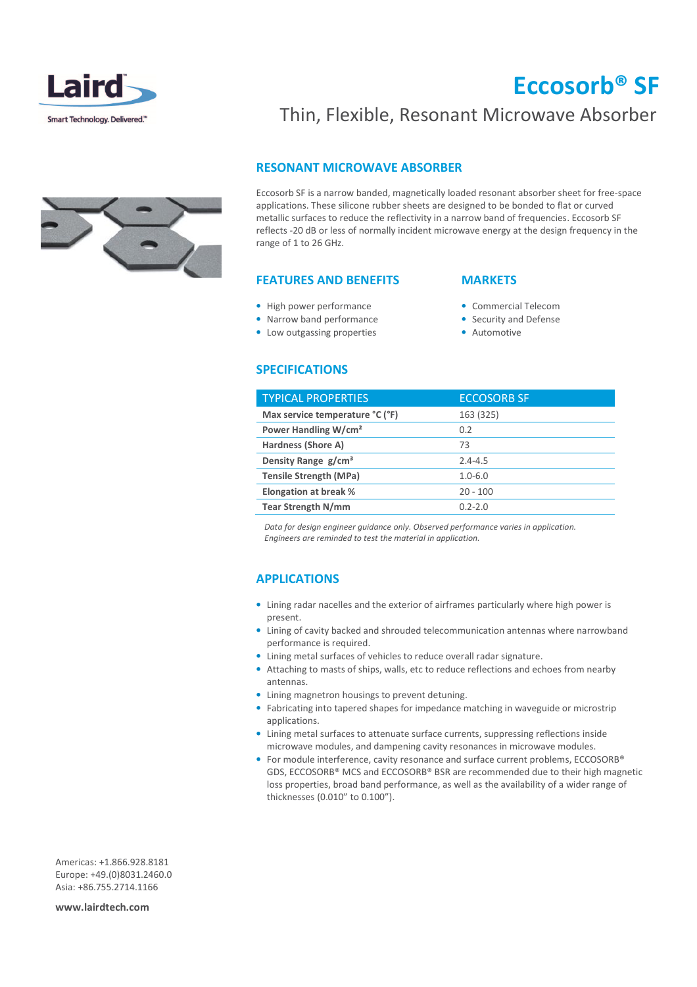

## Eccosorb® SF



### Thin, Flexible, Resonant Microwave Absorber

### RESONANT MICROWAVE ABSORBER

Eccosorb SF is a narrow banded, magnetically loaded resonant absorber sheet for free-space applications. These silicone rubber sheets are designed to be bonded to flat or curved metallic surfaces to reduce the reflectivity in a narrow band of frequencies. Eccosorb SF reflects -20 dB or less of normally incident microwave energy at the design frequency in the range of 1 to 26 GHz.

### FEATURES AND BENEFITS

- High power performance
- Narrow band performance
- Low outgassing properties
- **MARKETS**
- Commercial Telecom
- Security and Defense
- Automotive

### **SPECIFICATIONS**

| <b>TYPICAL PROPERTIES</b>        | <b>ECCOSORB SF</b> |
|----------------------------------|--------------------|
| Max service temperature °C (°F)  | 163 (325)          |
| Power Handling W/cm <sup>2</sup> | 0.2                |
| Hardness (Shore A)               | 73                 |
| Density Range g/cm <sup>3</sup>  | $2.4 - 4.5$        |
| <b>Tensile Strength (MPa)</b>    | $1.0 - 6.0$        |
| <b>Elongation at break %</b>     | $20 - 100$         |
| <b>Tear Strength N/mm</b>        | $0.2 - 2.0$        |

 Data for design engineer guidance only. Observed performance varies in application. Engineers are reminded to test the material in application.

#### APPLICATIONS

- Lining radar nacelles and the exterior of airframes particularly where high power is present.
- Lining of cavity backed and shrouded telecommunication antennas where narrowband performance is required.
- Lining metal surfaces of vehicles to reduce overall radar signature.
- Attaching to masts of ships, walls, etc to reduce reflections and echoes from nearby antennas.
- Lining magnetron housings to prevent detuning.
- Fabricating into tapered shapes for impedance matching in waveguide or microstrip applications.
- Lining metal surfaces to attenuate surface currents, suppressing reflections inside microwave modules, and dampening cavity resonances in microwave modules.
- For module interference, cavity resonance and surface current problems, ECCOSORB® GDS, ECCOSORB® MCS and ECCOSORB® BSR are recommended due to their high magnetic loss properties, broad band performance, as well as the availability of a wider range of thicknesses (0.010" to 0.100").

Americas: +1.866.928.8181 Europe: +49.(0)8031.2460.0 Asia: +86.755.2714.1166

www.lairdtech.com